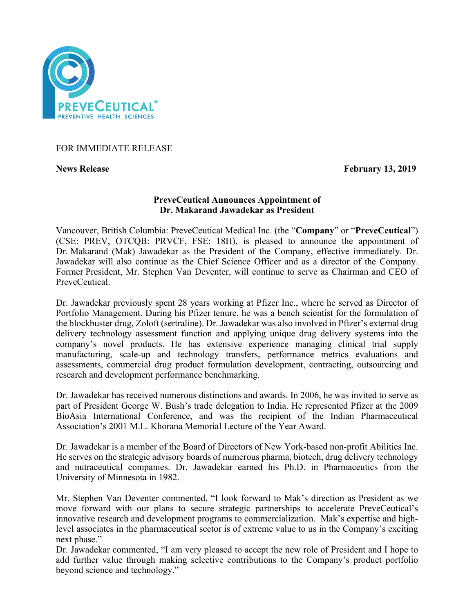

# FOR IMMEDIATE RELEASE

**News Release** February 13, 2019

## **PreveCeutical Announces Appointment of Dr. Makarand Jawadekar as President**

Vancouver, British Columbia: PreveCeutical Medical Inc. (the "**Company**" or "**PreveCeutical**") (CSE: PREV, OTCQB: PRVCF, FSE: 18H), is pleased to announce the appointment of Dr. Makarand (Mak) Jawadekar as the President of the Company, effective immediately. Dr. Jawadekar will also continue as the Chief Science Officer and as a director of the Company. Former President, Mr. Stephen Van Deventer, will continue to serve as Chairman and CEO of PreveCeutical.

Dr. Jawadekar previously spent 28 years working at Pfizer Inc., where he served as Director of Portfolio Management. During his Pfizer tenure, he was a bench scientist for the formulation of the blockbuster drug, Zoloft (sertraline). Dr. Jawadekar was also involved in Pfizer's external drug delivery technology assessment function and applying unique drug delivery systems into the company's novel products. He has extensive experience managing clinical trial supply manufacturing, scale-up and technology transfers, performance metrics evaluations and assessments, commercial drug product formulation development, contracting, outsourcing and research and development performance benchmarking.

Dr. Jawadekar has received numerous distinctions and awards. In 2006, he was invited to serve as part of President George W. Bush's trade delegation to India. He represented Pfizer at the 2009 BioAsia International Conference, and was the recipient of the Indian Pharmaceutical Association's 2001 M.L. Khorana Memorial Lecture of the Year Award.

Dr. Jawadekar is a member of the Board of Directors of New York-based non-profit Abilities Inc. He serves on the strategic advisory boards of numerous pharma, biotech, drug delivery technology and nutraceutical companies. Dr. Jawadekar earned his Ph.D. in Pharmaceutics from the University of Minnesota in 1982.

Mr. Stephen Van Deventer commented, "I look forward to Mak's direction as President as we move forward with our plans to secure strategic partnerships to accelerate PreveCeutical's innovative research and development programs to commercialization. Mak's expertise and highlevel associates in the pharmaceutical sector is of extreme value to us in the Company's exciting next phase."

Dr. Jawadekar commented, "I am very pleased to accept the new role of President and I hope to add further value through making selective contributions to the Company's product portfolio beyond science and technology."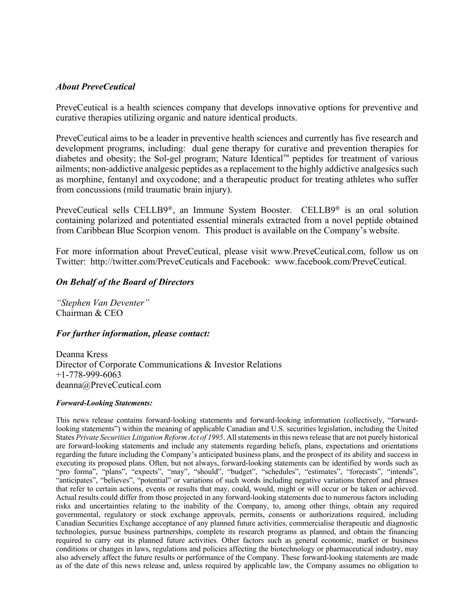#### *About PreveCeutical*

PreveCeutical is a health sciences company that develops innovative options for preventive and curative therapies utilizing organic and nature identical products.

PreveCeutical aims to be a leader in preventive health sciences and currently has five research and development programs, including: dual gene therapy for curative and prevention therapies for diabetes and obesity; the Sol-gel program; Nature Identical™ peptides for treatment of various ailments; non-addictive analgesic peptides as a replacement to the highly addictive analgesics such as morphine, fentanyl and oxycodone; and a therapeutic product for treating athletes who suffer from concussions (mild traumatic brain injury).

PreveCeutical sells CELLB9®, an Immune System Booster. CELLB9® is an oral solution containing polarized and potentiated essential minerals extracted from a novel peptide obtained from Caribbean Blue Scorpion venom. This product is available on the Company's website.

For more information about PreveCeutical, please visit www.PreveCeutical.com, follow us on Twitter: http://twitter.com/PreveCeuticals and Facebook: www.facebook.com/PreveCeutical.

## *On Behalf of the Board of Directors*

*"Stephen Van Deventer"* Chairman & CEO

#### *For further information, please contact:*

Deanna Kress Director of Corporate Communications & Investor Relations +1-778-999-6063 deanna@PreveCeutical.com

#### *Forward-Looking Statements:*

This news release contains forward-looking statements and forward-looking information (collectively, "forwardlooking statements") within the meaning of applicable Canadian and U.S. securities legislation, including the United States *Private Securities Litigation Reform Act of 1995*. All statements in this news release that are not purely historical are forward-looking statements and include any statements regarding beliefs, plans, expectations and orientations regarding the future including the Company's anticipated business plans, and the prospect of its ability and success in executing its proposed plans. Often, but not always, forward-looking statements can be identified by words such as "pro forma", "plans", "expects", "may", "should", "budget", "schedules", "estimates", "forecasts", "intends", "anticipates", "believes", "potential" or variations of such words including negative variations thereof and phrases that refer to certain actions, events or results that may, could, would, might or will occur or be taken or achieved. Actual results could differ from those projected in any forward-looking statements due to numerous factors including risks and uncertainties relating to the inability of the Company, to, among other things, obtain any required governmental, regulatory or stock exchange approvals, permits, consents or authorizations required, including Canadian Securities Exchange acceptance of any planned future activities, commercialise therapeutic and diagnostic technologies, pursue business partnerships, complete its research programs as planned, and obtain the financing required to carry out its planned future activities. Other factors such as general economic, market or business conditions or changes in laws, regulations and policies affecting the biotechnology or pharmaceutical industry, may also adversely affect the future results or performance of the Company. These forward-looking statements are made as of the date of this news release and, unless required by applicable law, the Company assumes no obligation to